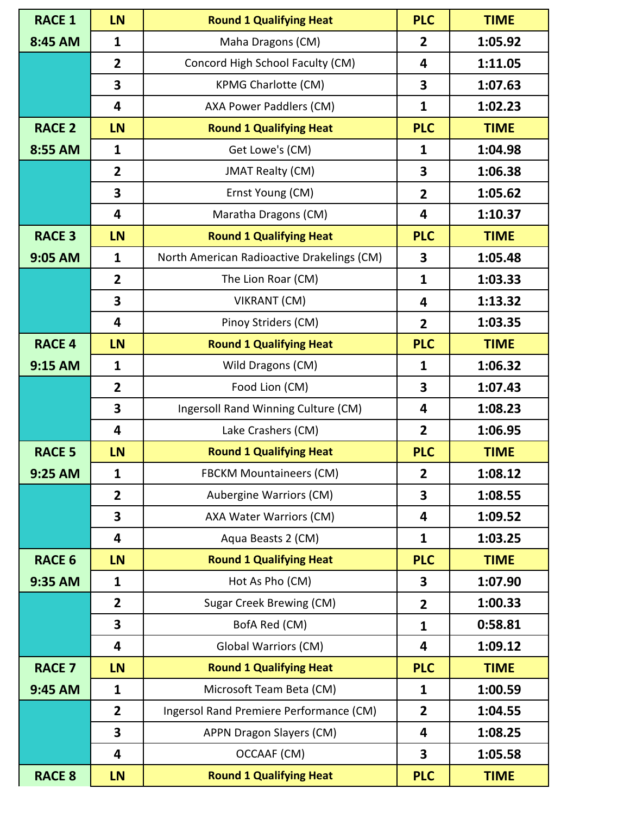| <b>RACE 1</b> | LN                      | <b>Round 1 Qualifying Heat</b>             | <b>PLC</b>     | <b>TIME</b> |  |  |
|---------------|-------------------------|--------------------------------------------|----------------|-------------|--|--|
| 8:45 AM       | $\mathbf{1}$            | Maha Dragons (CM)                          | $\overline{2}$ | 1:05.92     |  |  |
|               | $\overline{2}$          | Concord High School Faculty (CM)           | 4              | 1:11.05     |  |  |
|               | $\overline{\mathbf{3}}$ | <b>KPMG Charlotte (CM)</b>                 | 3              | 1:07.63     |  |  |
|               | $\overline{\mathbf{4}}$ | AXA Power Paddlers (CM)                    | $\mathbf{1}$   | 1:02.23     |  |  |
| <b>RACE 2</b> | <b>LN</b>               | <b>Round 1 Qualifying Heat</b>             | <b>PLC</b>     | <b>TIME</b> |  |  |
| 8:55 AM       | $\mathbf{1}$            | Get Lowe's (CM)                            | $\mathbf{1}$   | 1:04.98     |  |  |
|               | $\overline{2}$          | <b>JMAT Realty (CM)</b>                    | 3              | 1:06.38     |  |  |
|               | $\overline{\mathbf{3}}$ | Ernst Young (CM)                           | $\overline{2}$ | 1:05.62     |  |  |
|               | 4                       | Maratha Dragons (CM)                       | 4              | 1:10.37     |  |  |
| <b>RACE 3</b> | <b>LN</b>               | <b>Round 1 Qualifying Heat</b>             | <b>PLC</b>     | <b>TIME</b> |  |  |
| 9:05 AM       | $\mathbf{1}$            | North American Radioactive Drakelings (CM) | 3              | 1:05.48     |  |  |
|               | $\overline{2}$          | The Lion Roar (CM)                         | $\mathbf{1}$   | 1:03.33     |  |  |
|               | 3                       | VIKRANT (CM)                               | 4              | 1:13.32     |  |  |
|               | 4                       | Pinoy Striders (CM)                        | $\overline{2}$ | 1:03.35     |  |  |
| <b>RACE 4</b> | <b>LN</b>               | <b>Round 1 Qualifying Heat</b>             | <b>PLC</b>     | <b>TIME</b> |  |  |
| 9:15 AM       | $\mathbf{1}$            | Wild Dragons (CM)                          | $\mathbf{1}$   | 1:06.32     |  |  |
|               | $\overline{2}$          | Food Lion (CM)                             | 3              | 1:07.43     |  |  |
|               | 3                       | Ingersoll Rand Winning Culture (CM)        | 4              | 1:08.23     |  |  |
|               | 4                       | Lake Crashers (CM)                         | $\overline{2}$ | 1:06.95     |  |  |
| <b>RACE 5</b> | <b>LN</b>               | <b>Round 1 Qualifying Heat</b>             | <b>PLC</b>     | <b>TIME</b> |  |  |
| 9:25 AM       | 1                       | <b>FBCKM Mountaineers (CM)</b>             | 2              | 1:08.12     |  |  |
|               | $\overline{2}$          | Aubergine Warriors (CM)                    | 3              | 1:08.55     |  |  |
|               | 3                       | AXA Water Warriors (CM)                    | 4              | 1:09.52     |  |  |
|               | 4                       | Aqua Beasts 2 (CM)                         | $\mathbf{1}$   | 1:03.25     |  |  |
| <b>RACE 6</b> | LN                      | <b>Round 1 Qualifying Heat</b>             | <b>PLC</b>     | <b>TIME</b> |  |  |
| 9:35 AM       | $\mathbf{1}$            | Hot As Pho (CM)                            | 3              | 1:07.90     |  |  |
|               | $\overline{2}$          | <b>Sugar Creek Brewing (CM)</b>            | $\overline{2}$ | 1:00.33     |  |  |
|               | $\overline{\mathbf{3}}$ | BofA Red (CM)                              | 1              | 0:58.81     |  |  |
|               | 4                       | <b>Global Warriors (CM)</b>                | 4              | 1:09.12     |  |  |
| <b>RACE 7</b> | <b>LN</b>               | <b>Round 1 Qualifying Heat</b>             | <b>PLC</b>     | <b>TIME</b> |  |  |
| 9:45 AM       | $\mathbf{1}$            | Microsoft Team Beta (CM)                   | 1              | 1:00.59     |  |  |
|               | $\overline{2}$          | Ingersol Rand Premiere Performance (CM)    | $\overline{2}$ | 1:04.55     |  |  |
|               | $\overline{\mathbf{3}}$ | APPN Dragon Slayers (CM)                   | 4              | 1:08.25     |  |  |
|               | 4                       | OCCAAF (CM)                                | 3              | 1:05.58     |  |  |
| <b>RACE 8</b> | LN                      | <b>Round 1 Qualifying Heat</b>             | <b>PLC</b>     | <b>TIME</b> |  |  |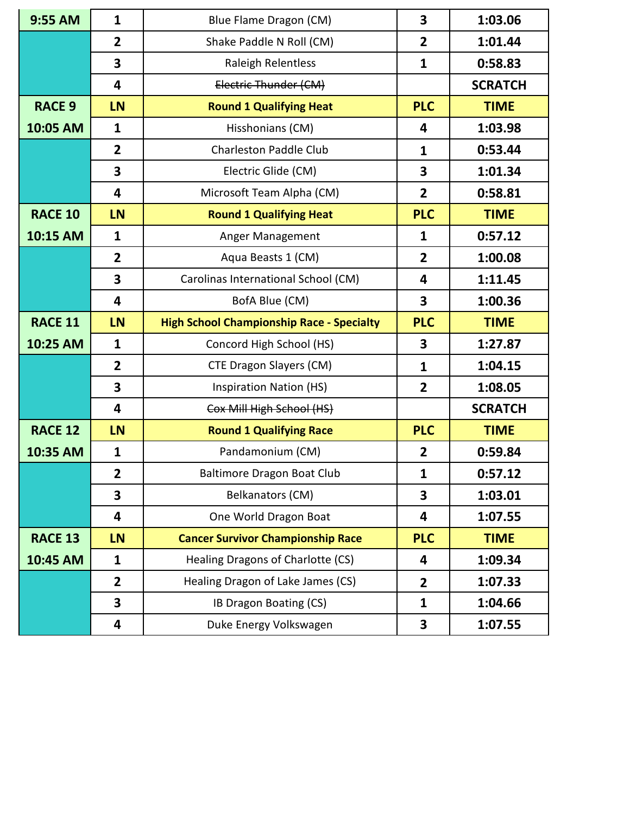| 9:55 AM        | $\mathbf{1}$            | Blue Flame Dragon (CM)                           | 3              | 1:03.06        |
|----------------|-------------------------|--------------------------------------------------|----------------|----------------|
|                | $\overline{2}$          | Shake Paddle N Roll (CM)                         | $\overline{2}$ | 1:01.44        |
|                | 3                       | <b>Raleigh Relentless</b>                        | $\mathbf{1}$   | 0:58.83        |
|                | 4                       | Electric Thunder (CM)                            |                | <b>SCRATCH</b> |
| <b>RACE 9</b>  | <b>LN</b>               | <b>Round 1 Qualifying Heat</b>                   | <b>PLC</b>     | <b>TIME</b>    |
| 10:05 AM       | $\mathbf{1}$            | Hisshonians (CM)                                 | 4              | 1:03.98        |
|                | $\overline{2}$          | <b>Charleston Paddle Club</b>                    | $\mathbf{1}$   | 0:53.44        |
|                | 3                       | Electric Glide (CM)                              | 3              | 1:01.34        |
|                | $\overline{\mathbf{4}}$ | Microsoft Team Alpha (CM)                        | $\overline{2}$ | 0:58.81        |
| <b>RACE 10</b> | LN                      | <b>Round 1 Qualifying Heat</b>                   | <b>PLC</b>     | <b>TIME</b>    |
| 10:15 AM       | $\mathbf{1}$            | Anger Management                                 | $\mathbf{1}$   | 0:57.12        |
|                | $\overline{2}$          | Aqua Beasts 1 (CM)                               | $\overline{2}$ | 1:00.08        |
|                | 3                       | Carolinas International School (CM)              | 4              | 1:11.45        |
|                | $\overline{\mathbf{4}}$ | BofA Blue (CM)                                   | 3              | 1:00.36        |
| <b>RACE 11</b> | LN                      | <b>High School Championship Race - Specialty</b> | <b>PLC</b>     | <b>TIME</b>    |
| 10:25 AM       | $\mathbf{1}$            | Concord High School (HS)                         | 3              | 1:27.87        |
|                | $\overline{2}$          | CTE Dragon Slayers (CM)                          | $\mathbf{1}$   | 1:04.15        |
|                | 3                       | <b>Inspiration Nation (HS)</b>                   | $\overline{2}$ | 1:08.05        |
|                | 4                       | Cox Mill High School (HS)                        |                | <b>SCRATCH</b> |
| <b>RACE 12</b> | <b>LN</b>               | <b>Round 1 Qualifying Race</b>                   | <b>PLC</b>     | <b>TIME</b>    |
| 10:35 AM       | $\mathbf{1}$            | Pandamonium (CM)                                 | $\overline{2}$ | 0:59.84        |
|                | $\mathbf{2}$            | Baltimore Dragon Boat Club                       | 1              | 0:57.12        |
|                | 3                       | Belkanators (CM)                                 | 3              | 1:03.01        |
|                | $\overline{\mathbf{4}}$ | One World Dragon Boat                            | 4              | 1:07.55        |
| <b>RACE 13</b> | <b>LN</b>               | <b>Cancer Survivor Championship Race</b>         | <b>PLC</b>     | <b>TIME</b>    |
| 10:45 AM       | $\mathbf{1}$            | Healing Dragons of Charlotte (CS)                | 4              | 1:09.34        |
|                | $\overline{2}$          | Healing Dragon of Lake James (CS)                | $\overline{2}$ | 1:07.33        |
|                | 3                       | IB Dragon Boating (CS)                           | $\mathbf{1}$   | 1:04.66        |
|                | 4                       | Duke Energy Volkswagen                           | 3              | 1:07.55        |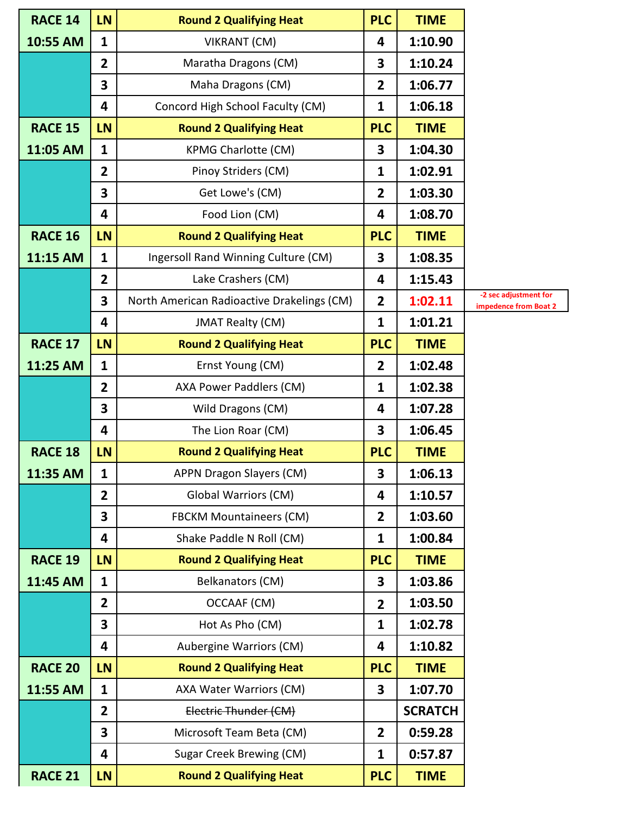| <b>RACE 14</b> | <b>LN</b>      | <b>Round 2 Qualifying Heat</b>             | <b>PLC</b>              | <b>TIME</b>    |                                                |
|----------------|----------------|--------------------------------------------|-------------------------|----------------|------------------------------------------------|
| 10:55 AM       | 1              | <b>VIKRANT (CM)</b>                        | 4                       | 1:10.90        |                                                |
|                | $\overline{2}$ | Maratha Dragons (CM)                       | 3                       | 1:10.24        |                                                |
|                | 3              | Maha Dragons (CM)                          | $\overline{2}$          | 1:06.77        |                                                |
|                | 4              | Concord High School Faculty (CM)           | 1                       | 1:06.18        |                                                |
| <b>RACE 15</b> | LN             | <b>Round 2 Qualifying Heat</b>             | <b>PLC</b>              | <b>TIME</b>    |                                                |
| 11:05 AM       | $\mathbf{1}$   | <b>KPMG Charlotte (CM)</b>                 | 3                       | 1:04.30        |                                                |
|                | $\overline{2}$ | Pinoy Striders (CM)                        | 1                       | 1:02.91        |                                                |
|                | 3              | Get Lowe's (CM)                            | $\overline{2}$          | 1:03.30        |                                                |
|                | 4              | Food Lion (CM)                             | 4                       | 1:08.70        |                                                |
| <b>RACE 16</b> | LN             | <b>Round 2 Qualifying Heat</b>             | <b>PLC</b>              | <b>TIME</b>    |                                                |
| 11:15 AM       | $\mathbf{1}$   | Ingersoll Rand Winning Culture (CM)        | 3                       | 1:08.35        |                                                |
|                | $\overline{2}$ | Lake Crashers (CM)                         | 4                       | 1:15.43        |                                                |
|                | 3              | North American Radioactive Drakelings (CM) | $\overline{2}$          | 1:02.11        | -2 sec adjustment for<br>impedence from Boat 2 |
|                | 4              | <b>JMAT Realty (CM)</b>                    | 1                       | 1:01.21        |                                                |
| <b>RACE 17</b> | LN             | <b>Round 2 Qualifying Heat</b>             | <b>PLC</b>              | <b>TIME</b>    |                                                |
| 11:25 AM       | $\mathbf{1}$   | Ernst Young (CM)                           | $\overline{2}$          | 1:02.48        |                                                |
|                | $\overline{2}$ | AXA Power Paddlers (CM)                    | 1                       | 1:02.38        |                                                |
|                | 3              | Wild Dragons (CM)                          | 4                       | 1:07.28        |                                                |
|                | 4              | The Lion Roar (CM)                         | 3                       | 1:06.45        |                                                |
| <b>RACE 18</b> | LN             | <b>Round 2 Qualifying Heat</b>             | <b>PLC</b>              | <b>TIME</b>    |                                                |
| 11:35 AM       | $\mathbf{1}$   | <b>APPN Dragon Slayers (CM)</b>            | 3                       | 1:06.13        |                                                |
|                | $\overline{2}$ | <b>Global Warriors (CM)</b>                | 4                       | 1:10.57        |                                                |
|                | 3              | <b>FBCKM Mountaineers (CM)</b>             | $\overline{2}$          | 1:03.60        |                                                |
|                | 4              | Shake Paddle N Roll (CM)                   | 1                       | 1:00.84        |                                                |
| <b>RACE 19</b> | LN             | <b>Round 2 Qualifying Heat</b>             | <b>PLC</b>              | <b>TIME</b>    |                                                |
| 11:45 AM       | $\mathbf{1}$   | Belkanators (CM)                           | 3                       | 1:03.86        |                                                |
|                | $\overline{2}$ | OCCAAF (CM)                                | $\overline{2}$          | 1:03.50        |                                                |
|                | 3              | Hot As Pho (CM)                            | 1                       | 1:02.78        |                                                |
|                | 4              | Aubergine Warriors (CM)                    | $\overline{\mathbf{4}}$ | 1:10.82        |                                                |
| <b>RACE 20</b> | LN             | <b>Round 2 Qualifying Heat</b>             | <b>PLC</b>              | <b>TIME</b>    |                                                |
| 11:55 AM       | $\mathbf{1}$   | AXA Water Warriors (CM)                    | 3                       | 1:07.70        |                                                |
|                | $\overline{2}$ | Electric Thunder (CM)                      |                         | <b>SCRATCH</b> |                                                |
|                | 3              | Microsoft Team Beta (CM)                   | $\overline{2}$          | 0:59.28        |                                                |
|                | 4              | Sugar Creek Brewing (CM)                   | 1                       | 0:57.87        |                                                |
| <b>RACE 21</b> | <b>LN</b>      | <b>Round 2 Qualifying Heat</b>             | <b>PLC</b>              | <b>TIME</b>    |                                                |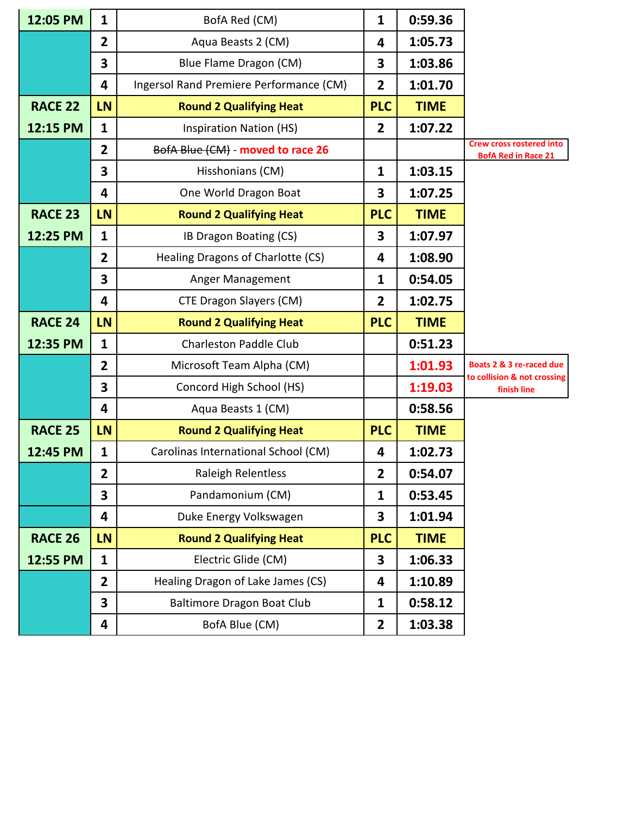| 12:05 PM       | $\mathbf{1}$   | BofA Red (CM)                           | $\mathbf{1}$   | 0:59.36     |                                                               |
|----------------|----------------|-----------------------------------------|----------------|-------------|---------------------------------------------------------------|
|                | $\overline{2}$ | Aqua Beasts 2 (CM)                      | 4              | 1:05.73     |                                                               |
|                | 3              | Blue Flame Dragon (CM)                  | 3              | 1:03.86     |                                                               |
|                | 4              | Ingersol Rand Premiere Performance (CM) | $\overline{2}$ | 1:01.70     |                                                               |
| <b>RACE 22</b> | LN             | <b>Round 2 Qualifying Heat</b>          | <b>PLC</b>     | <b>TIME</b> |                                                               |
| 12:15 PM       | $\mathbf{1}$   | <b>Inspiration Nation (HS)</b>          | $\overline{2}$ | 1:07.22     |                                                               |
|                | $\overline{2}$ | BofA Blue (CM) - moved to race 26       |                |             | <b>Crew cross rostered into</b><br><b>BofA Red in Race 21</b> |
|                | 3              | Hisshonians (CM)                        | $\mathbf{1}$   | 1:03.15     |                                                               |
|                | 4              | One World Dragon Boat                   | 3              | 1:07.25     |                                                               |
| <b>RACE 23</b> | LN             | <b>Round 2 Qualifying Heat</b>          | <b>PLC</b>     | <b>TIME</b> |                                                               |
| 12:25 PM       | $\mathbf{1}$   | IB Dragon Boating (CS)                  | 3              | 1:07.97     |                                                               |
|                | $\overline{2}$ | Healing Dragons of Charlotte (CS)       | 4              | 1:08.90     |                                                               |
|                | 3              | Anger Management                        | $\mathbf{1}$   | 0:54.05     |                                                               |
|                | 4              | CTE Dragon Slayers (CM)                 | $\overline{2}$ | 1:02.75     |                                                               |
| <b>RACE 24</b> | LN             | <b>Round 2 Qualifying Heat</b>          | <b>PLC</b>     | <b>TIME</b> |                                                               |
| 12:35 PM       | $\mathbf{1}$   | <b>Charleston Paddle Club</b>           |                | 0:51.23     |                                                               |
|                | $\overline{2}$ | Microsoft Team Alpha (CM)               |                | 1:01.93     | Boats 2 & 3 re-raced due<br>to collision & not crossing       |
|                | 3              | Concord High School (HS)                |                | 1:19.03     | finish line                                                   |
|                | 4              | Aqua Beasts 1 (CM)                      |                | 0:58.56     |                                                               |
| <b>RACE 25</b> | LN             | <b>Round 2 Qualifying Heat</b>          | <b>PLC</b>     | <b>TIME</b> |                                                               |
| 12:45 PM       | $\mathbf{1}$   | Carolinas International School (CM)     | 4              | 1:02.73     |                                                               |
|                | 2              | Raleigh Relentless                      | 2              | 0:54.07     |                                                               |
|                | 3              | Pandamonium (CM)                        | $\mathbf{1}$   | 0:53.45     |                                                               |
|                | 4              | Duke Energy Volkswagen                  | 3              | 1:01.94     |                                                               |
| <b>RACE 26</b> | LN             | <b>Round 2 Qualifying Heat</b>          | <b>PLC</b>     | <b>TIME</b> |                                                               |
| 12:55 PM       | $\mathbf{1}$   | Electric Glide (CM)                     | 3              | 1:06.33     |                                                               |
|                | $\overline{2}$ | Healing Dragon of Lake James (CS)       | 4              | 1:10.89     |                                                               |
|                | 3              | <b>Baltimore Dragon Boat Club</b>       | $\mathbf{1}$   | 0:58.12     |                                                               |
|                | 4              | BofA Blue (CM)                          | $\overline{2}$ | 1:03.38     |                                                               |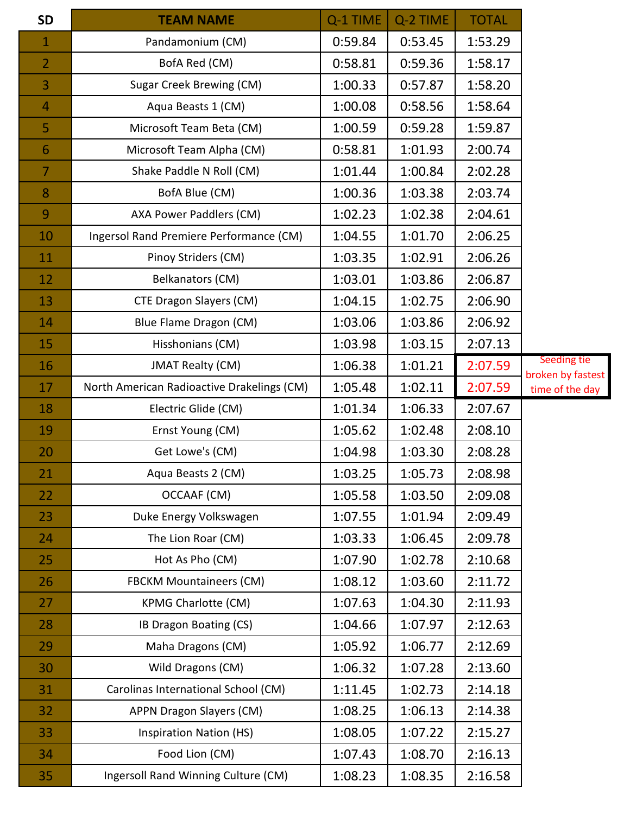| 0:53.45<br>Pandamonium (CM)<br>0:59.84<br>1:53.29<br>$\mathbf{1}$<br>0:59.36<br>BofA Red (CM)<br>0:58.81<br>1:58.17<br>$\overline{2}$<br>Sugar Creek Brewing (CM)<br>1:00.33<br>0:57.87<br>1:58.20<br>3<br>Aqua Beasts 1 (CM)<br>1:00.08<br>0:58.56<br>1:58.64<br>4<br>Microsoft Team Beta (CM)<br>0:59.28<br>1:00.59<br>1:59.87<br>5<br>0:58.81<br>1:01.93<br>2:00.74<br>Microsoft Team Alpha (CM)<br>6<br>1:00.84<br>2:02.28<br>1:01.44<br>$\overline{7}$<br>Shake Paddle N Roll (CM)<br>1:00.36<br>1:03.38<br>2:03.74<br>8<br>BofA Blue (CM)<br>1:02.23<br>1:02.38<br>2:04.61<br>9<br>AXA Power Paddlers (CM)<br>1:01.70<br>Ingersol Rand Premiere Performance (CM)<br>1:04.55<br>2:06.25<br>10<br>1:02.91<br>2:06.26<br>1:03.35<br>11<br>Pinoy Striders (CM)<br>1:03.01<br>1:03.86<br>2:06.87<br>12<br>Belkanators (CM)<br>CTE Dragon Slayers (CM)<br>1:04.15<br>1:02.75<br>2:06.90<br>13<br>1:03.86<br>2:06.92<br>1:03.06<br>Blue Flame Dragon (CM)<br>14<br>1:03.98<br>1:03.15<br>2:07.13<br>15<br>Hisshonians (CM)<br>1:06.38<br>1:01.21<br>2:07.59<br><b>JMAT Realty (CM)</b><br>16<br>1:05.48<br>1:02.11<br>2:07.59<br>North American Radioactive Drakelings (CM)<br>17<br>1:01.34<br>1:06.33<br>2:07.67<br>18<br>Electric Glide (CM)<br>1:05.62<br>2:08.10<br>1:02.48<br>19<br>Ernst Young (CM)<br>1:03.30<br>Get Lowe's (CM)<br>1:04.98<br>2:08.28<br>20<br>1:03.25<br>1:05.73<br>2:08.98<br>21<br>Aqua Beasts 2 (CM)<br>1:03.50<br>2:09.08<br>1:05.58<br>OCCAAF (CM)<br>22<br>1:01.94<br>2:09.49<br>1:07.55<br>23<br>Duke Energy Volkswagen<br>1:03.33<br>2:09.78<br>1:06.45<br>The Lion Roar (CM)<br>24<br>1:07.90<br>1:02.78<br>2:10.68<br>Hot As Pho (CM)<br>25<br>1:08.12<br>1:03.60<br>2:11.72<br><b>FBCKM Mountaineers (CM)</b><br>26<br>1:07.63<br>1:04.30<br>2:11.93<br><b>KPMG Charlotte (CM)</b><br>27<br>1:04.66<br>1:07.97<br>2:12.63<br>IB Dragon Boating (CS)<br>28<br>2:12.69<br>1:05.92<br>1:06.77<br>Maha Dragons (CM)<br>29<br>1:06.32<br>1:07.28<br>2:13.60<br>Wild Dragons (CM)<br>30<br>1:02.73<br>2:14.18<br>Carolinas International School (CM)<br>1:11.45<br>31<br>1:08.25<br>1:06.13<br>2:14.38<br>APPN Dragon Slayers (CM)<br>32<br>1:08.05<br>1:07.22<br>2:15.27<br>33<br><b>Inspiration Nation (HS)</b><br>1:08.70<br>2:16.13<br>Food Lion (CM)<br>1:07.43<br>34 | <b>SD</b> | <b>TEAM NAME</b>                    | Q-1 TIME | Q-2 TIME | <b>TOTAL</b> |                                  |
|----------------------------------------------------------------------------------------------------------------------------------------------------------------------------------------------------------------------------------------------------------------------------------------------------------------------------------------------------------------------------------------------------------------------------------------------------------------------------------------------------------------------------------------------------------------------------------------------------------------------------------------------------------------------------------------------------------------------------------------------------------------------------------------------------------------------------------------------------------------------------------------------------------------------------------------------------------------------------------------------------------------------------------------------------------------------------------------------------------------------------------------------------------------------------------------------------------------------------------------------------------------------------------------------------------------------------------------------------------------------------------------------------------------------------------------------------------------------------------------------------------------------------------------------------------------------------------------------------------------------------------------------------------------------------------------------------------------------------------------------------------------------------------------------------------------------------------------------------------------------------------------------------------------------------------------------------------------------------------------------------------------------------------------------------------------------------------------------------------------------------------------------------------------------------------------------------------------------------------------------------------------------------------------------------------|-----------|-------------------------------------|----------|----------|--------------|----------------------------------|
|                                                                                                                                                                                                                                                                                                                                                                                                                                                                                                                                                                                                                                                                                                                                                                                                                                                                                                                                                                                                                                                                                                                                                                                                                                                                                                                                                                                                                                                                                                                                                                                                                                                                                                                                                                                                                                                                                                                                                                                                                                                                                                                                                                                                                                                                                                          |           |                                     |          |          |              |                                  |
|                                                                                                                                                                                                                                                                                                                                                                                                                                                                                                                                                                                                                                                                                                                                                                                                                                                                                                                                                                                                                                                                                                                                                                                                                                                                                                                                                                                                                                                                                                                                                                                                                                                                                                                                                                                                                                                                                                                                                                                                                                                                                                                                                                                                                                                                                                          |           |                                     |          |          |              |                                  |
|                                                                                                                                                                                                                                                                                                                                                                                                                                                                                                                                                                                                                                                                                                                                                                                                                                                                                                                                                                                                                                                                                                                                                                                                                                                                                                                                                                                                                                                                                                                                                                                                                                                                                                                                                                                                                                                                                                                                                                                                                                                                                                                                                                                                                                                                                                          |           |                                     |          |          |              |                                  |
|                                                                                                                                                                                                                                                                                                                                                                                                                                                                                                                                                                                                                                                                                                                                                                                                                                                                                                                                                                                                                                                                                                                                                                                                                                                                                                                                                                                                                                                                                                                                                                                                                                                                                                                                                                                                                                                                                                                                                                                                                                                                                                                                                                                                                                                                                                          |           |                                     |          |          |              |                                  |
|                                                                                                                                                                                                                                                                                                                                                                                                                                                                                                                                                                                                                                                                                                                                                                                                                                                                                                                                                                                                                                                                                                                                                                                                                                                                                                                                                                                                                                                                                                                                                                                                                                                                                                                                                                                                                                                                                                                                                                                                                                                                                                                                                                                                                                                                                                          |           |                                     |          |          |              |                                  |
|                                                                                                                                                                                                                                                                                                                                                                                                                                                                                                                                                                                                                                                                                                                                                                                                                                                                                                                                                                                                                                                                                                                                                                                                                                                                                                                                                                                                                                                                                                                                                                                                                                                                                                                                                                                                                                                                                                                                                                                                                                                                                                                                                                                                                                                                                                          |           |                                     |          |          |              |                                  |
|                                                                                                                                                                                                                                                                                                                                                                                                                                                                                                                                                                                                                                                                                                                                                                                                                                                                                                                                                                                                                                                                                                                                                                                                                                                                                                                                                                                                                                                                                                                                                                                                                                                                                                                                                                                                                                                                                                                                                                                                                                                                                                                                                                                                                                                                                                          |           |                                     |          |          |              |                                  |
|                                                                                                                                                                                                                                                                                                                                                                                                                                                                                                                                                                                                                                                                                                                                                                                                                                                                                                                                                                                                                                                                                                                                                                                                                                                                                                                                                                                                                                                                                                                                                                                                                                                                                                                                                                                                                                                                                                                                                                                                                                                                                                                                                                                                                                                                                                          |           |                                     |          |          |              |                                  |
|                                                                                                                                                                                                                                                                                                                                                                                                                                                                                                                                                                                                                                                                                                                                                                                                                                                                                                                                                                                                                                                                                                                                                                                                                                                                                                                                                                                                                                                                                                                                                                                                                                                                                                                                                                                                                                                                                                                                                                                                                                                                                                                                                                                                                                                                                                          |           |                                     |          |          |              |                                  |
|                                                                                                                                                                                                                                                                                                                                                                                                                                                                                                                                                                                                                                                                                                                                                                                                                                                                                                                                                                                                                                                                                                                                                                                                                                                                                                                                                                                                                                                                                                                                                                                                                                                                                                                                                                                                                                                                                                                                                                                                                                                                                                                                                                                                                                                                                                          |           |                                     |          |          |              |                                  |
|                                                                                                                                                                                                                                                                                                                                                                                                                                                                                                                                                                                                                                                                                                                                                                                                                                                                                                                                                                                                                                                                                                                                                                                                                                                                                                                                                                                                                                                                                                                                                                                                                                                                                                                                                                                                                                                                                                                                                                                                                                                                                                                                                                                                                                                                                                          |           |                                     |          |          |              |                                  |
|                                                                                                                                                                                                                                                                                                                                                                                                                                                                                                                                                                                                                                                                                                                                                                                                                                                                                                                                                                                                                                                                                                                                                                                                                                                                                                                                                                                                                                                                                                                                                                                                                                                                                                                                                                                                                                                                                                                                                                                                                                                                                                                                                                                                                                                                                                          |           |                                     |          |          |              |                                  |
|                                                                                                                                                                                                                                                                                                                                                                                                                                                                                                                                                                                                                                                                                                                                                                                                                                                                                                                                                                                                                                                                                                                                                                                                                                                                                                                                                                                                                                                                                                                                                                                                                                                                                                                                                                                                                                                                                                                                                                                                                                                                                                                                                                                                                                                                                                          |           |                                     |          |          |              |                                  |
|                                                                                                                                                                                                                                                                                                                                                                                                                                                                                                                                                                                                                                                                                                                                                                                                                                                                                                                                                                                                                                                                                                                                                                                                                                                                                                                                                                                                                                                                                                                                                                                                                                                                                                                                                                                                                                                                                                                                                                                                                                                                                                                                                                                                                                                                                                          |           |                                     |          |          |              |                                  |
|                                                                                                                                                                                                                                                                                                                                                                                                                                                                                                                                                                                                                                                                                                                                                                                                                                                                                                                                                                                                                                                                                                                                                                                                                                                                                                                                                                                                                                                                                                                                                                                                                                                                                                                                                                                                                                                                                                                                                                                                                                                                                                                                                                                                                                                                                                          |           |                                     |          |          |              |                                  |
|                                                                                                                                                                                                                                                                                                                                                                                                                                                                                                                                                                                                                                                                                                                                                                                                                                                                                                                                                                                                                                                                                                                                                                                                                                                                                                                                                                                                                                                                                                                                                                                                                                                                                                                                                                                                                                                                                                                                                                                                                                                                                                                                                                                                                                                                                                          |           |                                     |          |          |              | Seeding tie<br>broken by fastest |
|                                                                                                                                                                                                                                                                                                                                                                                                                                                                                                                                                                                                                                                                                                                                                                                                                                                                                                                                                                                                                                                                                                                                                                                                                                                                                                                                                                                                                                                                                                                                                                                                                                                                                                                                                                                                                                                                                                                                                                                                                                                                                                                                                                                                                                                                                                          |           |                                     |          |          |              | time of the day                  |
|                                                                                                                                                                                                                                                                                                                                                                                                                                                                                                                                                                                                                                                                                                                                                                                                                                                                                                                                                                                                                                                                                                                                                                                                                                                                                                                                                                                                                                                                                                                                                                                                                                                                                                                                                                                                                                                                                                                                                                                                                                                                                                                                                                                                                                                                                                          |           |                                     |          |          |              |                                  |
|                                                                                                                                                                                                                                                                                                                                                                                                                                                                                                                                                                                                                                                                                                                                                                                                                                                                                                                                                                                                                                                                                                                                                                                                                                                                                                                                                                                                                                                                                                                                                                                                                                                                                                                                                                                                                                                                                                                                                                                                                                                                                                                                                                                                                                                                                                          |           |                                     |          |          |              |                                  |
|                                                                                                                                                                                                                                                                                                                                                                                                                                                                                                                                                                                                                                                                                                                                                                                                                                                                                                                                                                                                                                                                                                                                                                                                                                                                                                                                                                                                                                                                                                                                                                                                                                                                                                                                                                                                                                                                                                                                                                                                                                                                                                                                                                                                                                                                                                          |           |                                     |          |          |              |                                  |
|                                                                                                                                                                                                                                                                                                                                                                                                                                                                                                                                                                                                                                                                                                                                                                                                                                                                                                                                                                                                                                                                                                                                                                                                                                                                                                                                                                                                                                                                                                                                                                                                                                                                                                                                                                                                                                                                                                                                                                                                                                                                                                                                                                                                                                                                                                          |           |                                     |          |          |              |                                  |
|                                                                                                                                                                                                                                                                                                                                                                                                                                                                                                                                                                                                                                                                                                                                                                                                                                                                                                                                                                                                                                                                                                                                                                                                                                                                                                                                                                                                                                                                                                                                                                                                                                                                                                                                                                                                                                                                                                                                                                                                                                                                                                                                                                                                                                                                                                          |           |                                     |          |          |              |                                  |
|                                                                                                                                                                                                                                                                                                                                                                                                                                                                                                                                                                                                                                                                                                                                                                                                                                                                                                                                                                                                                                                                                                                                                                                                                                                                                                                                                                                                                                                                                                                                                                                                                                                                                                                                                                                                                                                                                                                                                                                                                                                                                                                                                                                                                                                                                                          |           |                                     |          |          |              |                                  |
|                                                                                                                                                                                                                                                                                                                                                                                                                                                                                                                                                                                                                                                                                                                                                                                                                                                                                                                                                                                                                                                                                                                                                                                                                                                                                                                                                                                                                                                                                                                                                                                                                                                                                                                                                                                                                                                                                                                                                                                                                                                                                                                                                                                                                                                                                                          |           |                                     |          |          |              |                                  |
|                                                                                                                                                                                                                                                                                                                                                                                                                                                                                                                                                                                                                                                                                                                                                                                                                                                                                                                                                                                                                                                                                                                                                                                                                                                                                                                                                                                                                                                                                                                                                                                                                                                                                                                                                                                                                                                                                                                                                                                                                                                                                                                                                                                                                                                                                                          |           |                                     |          |          |              |                                  |
|                                                                                                                                                                                                                                                                                                                                                                                                                                                                                                                                                                                                                                                                                                                                                                                                                                                                                                                                                                                                                                                                                                                                                                                                                                                                                                                                                                                                                                                                                                                                                                                                                                                                                                                                                                                                                                                                                                                                                                                                                                                                                                                                                                                                                                                                                                          |           |                                     |          |          |              |                                  |
|                                                                                                                                                                                                                                                                                                                                                                                                                                                                                                                                                                                                                                                                                                                                                                                                                                                                                                                                                                                                                                                                                                                                                                                                                                                                                                                                                                                                                                                                                                                                                                                                                                                                                                                                                                                                                                                                                                                                                                                                                                                                                                                                                                                                                                                                                                          |           |                                     |          |          |              |                                  |
|                                                                                                                                                                                                                                                                                                                                                                                                                                                                                                                                                                                                                                                                                                                                                                                                                                                                                                                                                                                                                                                                                                                                                                                                                                                                                                                                                                                                                                                                                                                                                                                                                                                                                                                                                                                                                                                                                                                                                                                                                                                                                                                                                                                                                                                                                                          |           |                                     |          |          |              |                                  |
|                                                                                                                                                                                                                                                                                                                                                                                                                                                                                                                                                                                                                                                                                                                                                                                                                                                                                                                                                                                                                                                                                                                                                                                                                                                                                                                                                                                                                                                                                                                                                                                                                                                                                                                                                                                                                                                                                                                                                                                                                                                                                                                                                                                                                                                                                                          |           |                                     |          |          |              |                                  |
|                                                                                                                                                                                                                                                                                                                                                                                                                                                                                                                                                                                                                                                                                                                                                                                                                                                                                                                                                                                                                                                                                                                                                                                                                                                                                                                                                                                                                                                                                                                                                                                                                                                                                                                                                                                                                                                                                                                                                                                                                                                                                                                                                                                                                                                                                                          |           |                                     |          |          |              |                                  |
|                                                                                                                                                                                                                                                                                                                                                                                                                                                                                                                                                                                                                                                                                                                                                                                                                                                                                                                                                                                                                                                                                                                                                                                                                                                                                                                                                                                                                                                                                                                                                                                                                                                                                                                                                                                                                                                                                                                                                                                                                                                                                                                                                                                                                                                                                                          |           |                                     |          |          |              |                                  |
|                                                                                                                                                                                                                                                                                                                                                                                                                                                                                                                                                                                                                                                                                                                                                                                                                                                                                                                                                                                                                                                                                                                                                                                                                                                                                                                                                                                                                                                                                                                                                                                                                                                                                                                                                                                                                                                                                                                                                                                                                                                                                                                                                                                                                                                                                                          |           |                                     |          |          |              |                                  |
|                                                                                                                                                                                                                                                                                                                                                                                                                                                                                                                                                                                                                                                                                                                                                                                                                                                                                                                                                                                                                                                                                                                                                                                                                                                                                                                                                                                                                                                                                                                                                                                                                                                                                                                                                                                                                                                                                                                                                                                                                                                                                                                                                                                                                                                                                                          |           |                                     |          |          |              |                                  |
|                                                                                                                                                                                                                                                                                                                                                                                                                                                                                                                                                                                                                                                                                                                                                                                                                                                                                                                                                                                                                                                                                                                                                                                                                                                                                                                                                                                                                                                                                                                                                                                                                                                                                                                                                                                                                                                                                                                                                                                                                                                                                                                                                                                                                                                                                                          |           |                                     |          |          |              |                                  |
|                                                                                                                                                                                                                                                                                                                                                                                                                                                                                                                                                                                                                                                                                                                                                                                                                                                                                                                                                                                                                                                                                                                                                                                                                                                                                                                                                                                                                                                                                                                                                                                                                                                                                                                                                                                                                                                                                                                                                                                                                                                                                                                                                                                                                                                                                                          | 35        | Ingersoll Rand Winning Culture (CM) | 1:08.23  | 1:08.35  | 2:16.58      |                                  |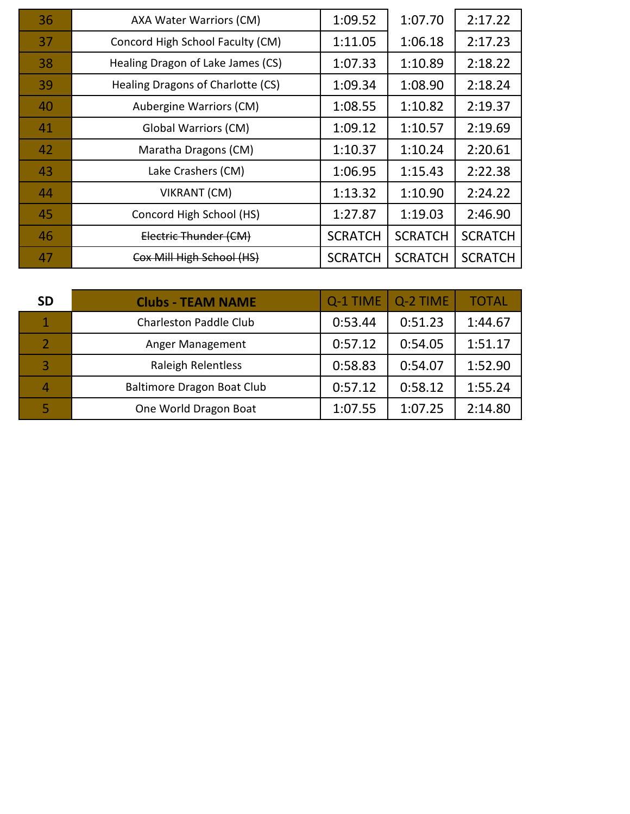| 36 | AXA Water Warriors (CM)           | 1:09.52        | 1:07.70        | 2:17.22        |
|----|-----------------------------------|----------------|----------------|----------------|
| 37 | Concord High School Faculty (CM)  | 1:11.05        | 1:06.18        | 2:17.23        |
| 38 | Healing Dragon of Lake James (CS) | 1:07.33        | 1:10.89        | 2:18.22        |
| 39 | Healing Dragons of Charlotte (CS) | 1:09.34        | 1:08.90        | 2:18.24        |
| 40 | Aubergine Warriors (CM)           | 1:08.55        | 1:10.82        | 2:19.37        |
| 41 | <b>Global Warriors (CM)</b>       | 1:09.12        | 1:10.57        | 2:19.69        |
| 42 | Maratha Dragons (CM)              | 1:10.37        | 1:10.24        | 2:20.61        |
| 43 | Lake Crashers (CM)                | 1:06.95        | 1:15.43        | 2:22.38        |
| 44 | VIKRANT (CM)                      | 1:13.32        | 1:10.90        | 2:24.22        |
| 45 | Concord High School (HS)          | 1:27.87        | 1:19.03        | 2:46.90        |
| 46 | Electric Thunder (CM)             | <b>SCRATCH</b> | <b>SCRATCH</b> | <b>SCRATCH</b> |
| 47 | Cox Mill High School (HS)         | <b>SCRATCH</b> | <b>SCRATCH</b> | <b>SCRATCH</b> |

| <b>SD</b> | <b>Clubs - TEAM NAME</b>      | Q-1 TIME | Q-2 TIME | <b>TOTAL</b> |
|-----------|-------------------------------|----------|----------|--------------|
|           | <b>Charleston Paddle Club</b> | 0:53.44  | 0:51.23  | 1:44.67      |
|           | Anger Management              | 0:57.12  | 0:54.05  | 1:51.17      |
|           | <b>Raleigh Relentless</b>     | 0:58.83  | 0:54.07  | 1:52.90      |
| Δ         | Baltimore Dragon Boat Club    | 0:57.12  | 0:58.12  | 1:55.24      |
|           | One World Dragon Boat         | 1:07.55  | 1:07.25  | 2:14.80      |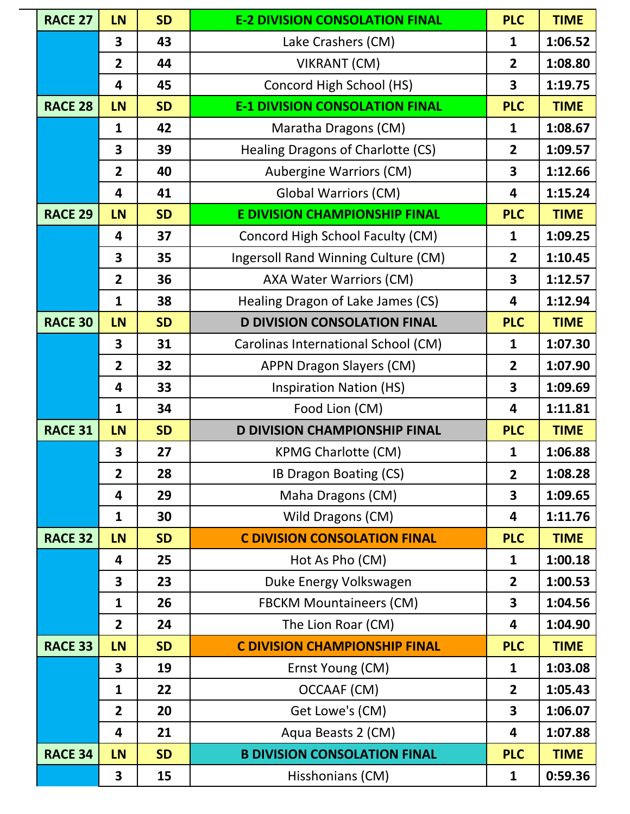| <b>RACE 27</b> | <b>LN</b>               | <b>SD</b> | <b>E-2 DIVISION CONSOLATION FINAL</b> | <b>PLC</b>              | <b>TIME</b> |
|----------------|-------------------------|-----------|---------------------------------------|-------------------------|-------------|
|                | 3                       | 43        | Lake Crashers (CM)                    | $\mathbf{1}$            | 1:06.52     |
|                | $\overline{2}$          | 44        | <b>VIKRANT (CM)</b>                   | $\overline{2}$          | 1:08.80     |
|                | 4                       | 45        | Concord High School (HS)              | 3                       | 1:19.75     |
| <b>RACE 28</b> | LN                      | <b>SD</b> | <b>E-1 DIVISION CONSOLATION FINAL</b> | <b>PLC</b>              | <b>TIME</b> |
|                | $\mathbf{1}$            | 42        | Maratha Dragons (CM)                  | $\mathbf{1}$            | 1:08.67     |
|                | $\overline{\mathbf{3}}$ | 39        | Healing Dragons of Charlotte (CS)     | $\overline{2}$          | 1:09.57     |
|                | $\overline{2}$          | 40        | Aubergine Warriors (CM)               | 3                       | 1:12.66     |
|                | $\overline{\mathbf{4}}$ | 41        | <b>Global Warriors (CM)</b>           | $\overline{\mathbf{4}}$ | 1:15.24     |
| <b>RACE 29</b> | <b>LN</b>               | <b>SD</b> | <b>E DIVISION CHAMPIONSHIP FINAL</b>  | <b>PLC</b>              | <b>TIME</b> |
|                | 4                       | 37        | Concord High School Faculty (CM)      | $\mathbf{1}$            | 1:09.25     |
|                | 3                       | 35        | Ingersoll Rand Winning Culture (CM)   | $\overline{2}$          | 1:10.45     |
|                | $\overline{2}$          | 36        | <b>AXA Water Warriors (CM)</b>        | 3                       | 1:12.57     |
|                | $\mathbf{1}$            | 38        | Healing Dragon of Lake James (CS)     | 4                       | 1:12.94     |
| <b>RACE 30</b> | <b>LN</b>               | <b>SD</b> | <b>D DIVISION CONSOLATION FINAL</b>   | <b>PLC</b>              | <b>TIME</b> |
|                | 3                       | 31        | Carolinas International School (CM)   | $\mathbf{1}$            | 1:07.30     |
|                | $\overline{2}$          | 32        | <b>APPN Dragon Slayers (CM)</b>       | $\overline{2}$          | 1:07.90     |
|                | $\overline{\mathbf{4}}$ | 33        | <b>Inspiration Nation (HS)</b>        | 3                       | 1:09.69     |
|                | $\mathbf{1}$            | 34        | Food Lion (CM)                        | $\overline{\mathbf{4}}$ | 1:11.81     |
| <b>RACE 31</b> | <b>LN</b>               | <b>SD</b> | <b>D DIVISION CHAMPIONSHIP FINAL</b>  | <b>PLC</b>              | <b>TIME</b> |
|                | 3                       | 27        | <b>KPMG Charlotte (CM)</b>            | $\mathbf{1}$            | 1:06.88     |
|                | $\overline{2}$          | 28        | <b>IB Dragon Boating (CS)</b>         | $\overline{2}$          | 1:08.28     |
|                | 4                       | 29        | Maha Dragons (CM)                     | 3                       | 1:09.65     |
|                | $\mathbf{1}$            | 30        | Wild Dragons (CM)                     | 4                       | 1:11.76     |
| <b>RACE 32</b> | LN                      | <b>SD</b> | <b>C DIVISION CONSOLATION FINAL</b>   | <b>PLC</b>              | <b>TIME</b> |
|                | 4                       | 25        | Hot As Pho (CM)                       | $\mathbf{1}$            | 1:00.18     |
|                | $\overline{\mathbf{3}}$ | 23        | Duke Energy Volkswagen                | $\overline{2}$          | 1:00.53     |
|                | $\mathbf{1}$            | 26        | <b>FBCKM Mountaineers (CM)</b>        | 3                       | 1:04.56     |
|                | $\overline{2}$          | 24        | The Lion Roar (CM)                    | 4                       | 1:04.90     |
| <b>RACE 33</b> | <b>LN</b>               | <b>SD</b> | <b>C DIVISION CHAMPIONSHIP FINAL</b>  | <b>PLC</b>              | <b>TIME</b> |
|                | $\overline{\mathbf{3}}$ | 19        | Ernst Young (CM)                      | $\mathbf{1}$            | 1:03.08     |
|                | 1                       | 22        | OCCAAF (CM)                           | $\overline{2}$          | 1:05.43     |
|                | $\overline{2}$          | 20        | Get Lowe's (CM)                       | 3                       | 1:06.07     |
|                | 4                       | 21        | Aqua Beasts 2 (CM)                    | 4                       | 1:07.88     |
| <b>RACE 34</b> | <b>LN</b>               | <b>SD</b> | <b>B DIVISION CONSOLATION FINAL</b>   | <b>PLC</b>              | <b>TIME</b> |
|                | 3                       | 15        | Hisshonians (CM)                      | $\mathbf{1}$            | 0:59.36     |